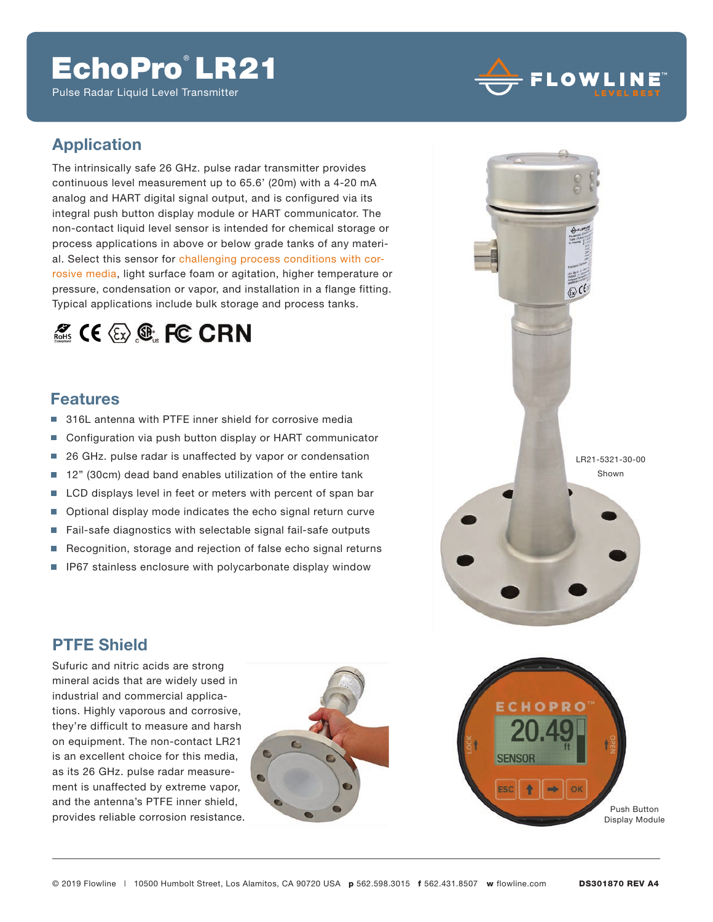# EchoPro LR21

Pulse Radar Liquid Level Transmitter



### **Application**

The intrinsically safe 26 GHz. pulse radar transmitter provides continuous level measurement up to 65.6' (20m) with a 4-20 mA analog and HART digital signal output, and is configured via its integral push button display module or HART communicator. The non-contact liquid level sensor is intended for chemical storage or process applications in above or below grade tanks of any material. Select this sensor for challenging process conditions with corrosive media, light surface foam or agitation, higher temperature or pressure, condensation or vapor, and installation in a flange fitting. Typical applications include bulk storage and process tanks.

## $\mathscr{Z}_{\text{max}}$  ( $\epsilon \otimes \mathbb{C}$  FC CRN

#### **Features**

- г 316L antenna with PTFE inner shield for corrosive media
- Configuration via push button display or HART communicator m.
- 26 GHz. pulse radar is unaffected by vapor or condensation Ħ
- m. 12" (30cm) dead band enables utilization of the entire tank
- LCD displays level in feet or meters with percent of span bar П
- $\overline{\phantom{a}}$ Optional display mode indicates the echo signal return curve
- П Fail-safe diagnostics with selectable signal fail-safe outputs
- $\mathbf{r}$ Recognition, storage and rejection of false echo signal returns
- п IP67 stainless enclosure with polycarbonate display window

### **PTFE Shield**

Sufuric and nitric acids are strong mineral acids that are widely used in industrial and commercial applications. Highly vaporous and corrosive, they're difficult to measure and harsh on equipment. The non-contact LR21 is an excellent choice for this media, as its 26 GHz. pulse radar measurement is unaffected by extreme vapor, and the antenna's PTFE inner shield, provides reliable corrosion resistance.





LR21-5321-30-00 Shown